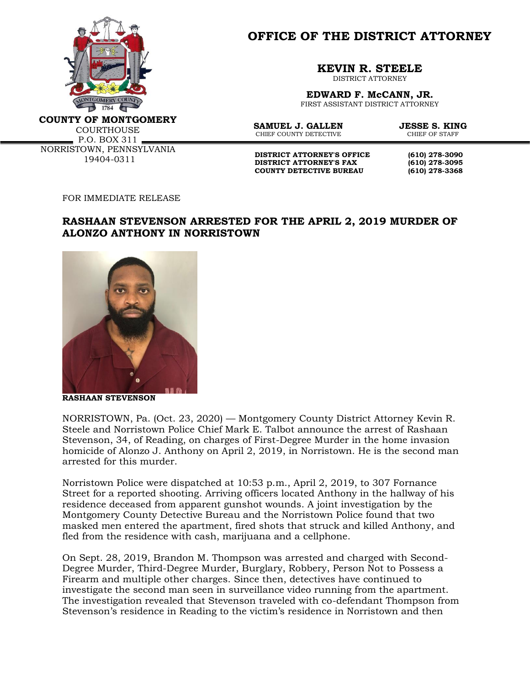

**OFFICE OF THE DISTRICT ATTORNEY**

**KEVIN R. STEELE**

DISTRICT ATTORNEY

**EDWARD F. McCANN, JR.** FIRST ASSISTANT DISTRICT ATTORNEY

**COUNTY OF MONTGOMERY**

**COURTHOUSE**  $P.0. BOX 311 -$ NORRISTOWN, PENNSYLVANIA 19404-0311

**SAMUEL J. GALLEN JESSE S. KING**<br>CHIEF COUNTY DETECTIVE CHIEF OF STAFF CHIEF COUNTY DETECTIVE

**DISTRICT ATTORNEY'S OFFICE** (610) 278-3090<br>DISTRICT ATTORNEY'S FAX (610) 278-3095 **DISTRICT ATTORNEY'S FAX COUNTY DETECTIVE BUREAU (610) 278-3368**

FOR IMMEDIATE RELEASE

## **RASHAAN STEVENSON ARRESTED FOR THE APRIL 2, 2019 MURDER OF ALONZO ANTHONY IN NORRISTOWN**



**RASHAAN STEVENSON**

NORRISTOWN, Pa. (Oct. 23, 2020) — Montgomery County District Attorney Kevin R. Steele and Norristown Police Chief Mark E. Talbot announce the arrest of Rashaan Stevenson, 34, of Reading, on charges of First-Degree Murder in the home invasion homicide of Alonzo J. Anthony on April 2, 2019, in Norristown. He is the second man arrested for this murder.

Norristown Police were dispatched at 10:53 p.m., April 2, 2019, to 307 Fornance Street for a reported shooting. Arriving officers located Anthony in the hallway of his residence deceased from apparent gunshot wounds. A joint investigation by the Montgomery County Detective Bureau and the Norristown Police found that two masked men entered the apartment, fired shots that struck and killed Anthony, and fled from the residence with cash, marijuana and a cellphone.

On Sept. 28, 2019, Brandon M. Thompson was arrested and charged with Second-Degree Murder, Third-Degree Murder, Burglary, Robbery, Person Not to Possess a Firearm and multiple other charges. Since then, detectives have continued to investigate the second man seen in surveillance video running from the apartment. The investigation revealed that Stevenson traveled with co-defendant Thompson from Stevenson's residence in Reading to the victim's residence in Norristown and then